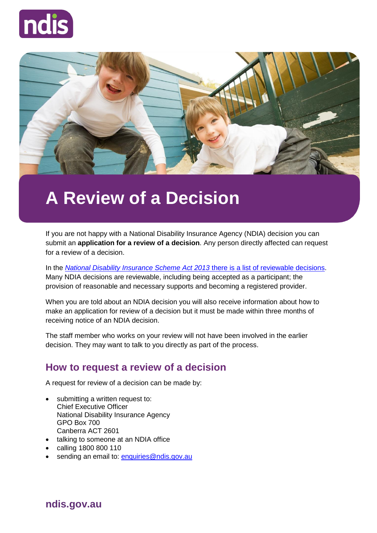



# **A Review of a Decision**

If you are not happy with a National Disability Insurance Agency (NDIA) decision you can submit an **application for a review of a decision**. Any person directly affected can request for a review of a decision.

In the *[National Disability Insurance Scheme Act 2013](https://www.legislation.gov.au/Details/C2013A00020)* there is a list of reviewable decisions. Many NDIA decisions are reviewable, including being accepted as a participant; the provision of reasonable and necessary supports and becoming a registered provider.

When you are told about an NDIA decision you will also receive information about how to make an application for review of a decision but it must be made within three months of receiving notice of an NDIA decision.

The staff member who works on your review will not have been involved in the earlier decision. They may want to talk to you directly as part of the process.

#### **How to request a review of a decision**

A request for review of a decision can be made by:

- submitting a written request to: Chief Executive Officer National Disability Insurance Agency GPO Box 700 Canberra ACT 2601
- talking to someone at an NDIA office
- calling 1800 800 110
- sending an email to: [enquiries@ndis.gov.au](mailto:enquiries@ndis.gov.au)

**ndis.gov.au**